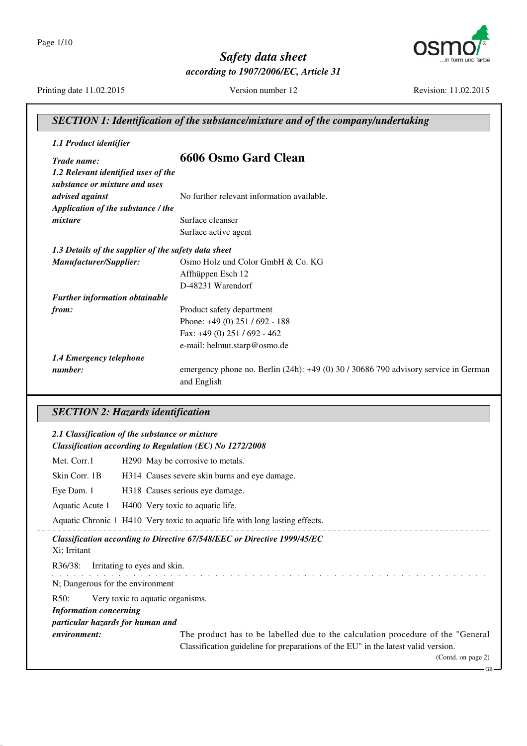Page 1/10



*Safety data sheet according to 1907/2006/EC, Article 31*

Printing date 11.02.2015 Version number 12 Revision: 11.02.2015

| 1.1 Product identifier                               |                                                                                     |
|------------------------------------------------------|-------------------------------------------------------------------------------------|
| Trade name:                                          | 6606 Osmo Gard Clean                                                                |
| 1.2 Relevant identified uses of the                  |                                                                                     |
| substance or mixture and uses                        |                                                                                     |
| advised against                                      | No further relevant information available.                                          |
| Application of the substance / the                   |                                                                                     |
| mixture                                              | Surface cleanser                                                                    |
|                                                      | Surface active agent                                                                |
| 1.3 Details of the supplier of the safety data sheet |                                                                                     |
| Manufacturer/Supplier:                               | Osmo Holz und Color GmbH & Co. KG                                                   |
|                                                      | Affhüppen Esch 12                                                                   |
|                                                      | D-48231 Warendorf                                                                   |
| Further information obtainable                       |                                                                                     |
| from:                                                | Product safety department                                                           |
|                                                      | Phone: +49 (0) 251 / 692 - 188                                                      |
|                                                      | Fax: +49 (0) 251 / 692 - 462                                                        |
|                                                      | e-mail: helmut.starp@osmo.de                                                        |
| 1.4 Emergency telephone                              |                                                                                     |
| number:                                              | emergency phone no. Berlin (24h): +49 (0) 30 / 30686 790 advisory service in German |
|                                                      | and English                                                                         |
|                                                      |                                                                                     |
| <b>SECTION 2: Hazards identification</b>             |                                                                                     |
| 2.1 Classification of the substance or mixture       |                                                                                     |
|                                                      | Classification according to Regulation (EC) No 1272/2008                            |
|                                                      |                                                                                     |

Skin Corr. 1B H314 Causes severe skin burns and eye damage.

Eye Dam. 1 H318 Causes serious eye damage.

Aquatic Acute 1 H400 Very toxic to aquatic life.

Aquatic Chronic 1 H410 Very toxic to aquatic life with long lasting effects.

*Classification according to Directive 67/548/EEC or Directive 1999/45/EC*

Xi; Irritant

R36/38: Irritating to eyes and skin.

and the contract of the contract of the contract of N; Dangerous for the environment

R50: Very toxic to aquatic organisms.

*Information concerning*

*particular hazards for human and*

*environment:* The product has to be labelled due to the calculation procedure of the "General" Classification guideline for preparations of the EU" in the latest valid version.

(Contd. on page 2)

GB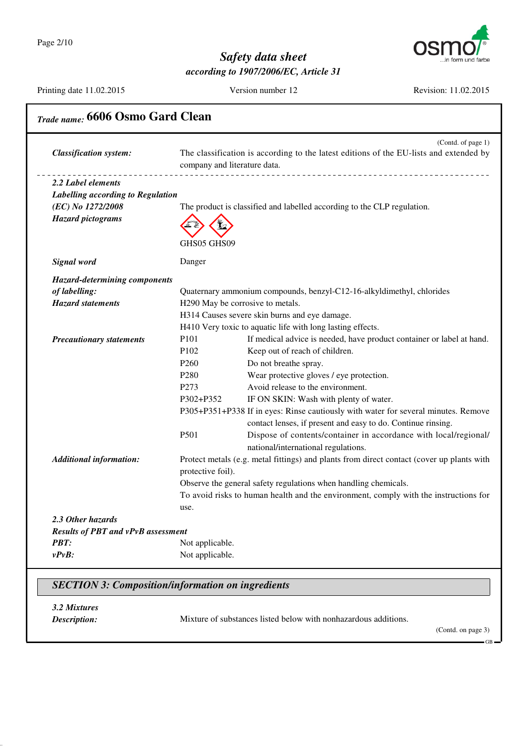

Printing date 11.02.2015 Version number 12 Revision: 11.02.2015

| <b>Classification system:</b>             | company and literature data. | (Contd. of page 1)<br>The classification is according to the latest editions of the EU-lists and extended by<br>____________________________________ |
|-------------------------------------------|------------------------------|------------------------------------------------------------------------------------------------------------------------------------------------------|
| 2.2 Label elements                        |                              |                                                                                                                                                      |
| Labelling according to Regulation         |                              |                                                                                                                                                      |
| (EC) No 1272/2008                         |                              | The product is classified and labelled according to the CLP regulation.                                                                              |
| <b>Hazard pictograms</b>                  |                              |                                                                                                                                                      |
|                                           | GHS05 GHS09                  |                                                                                                                                                      |
| Signal word                               | Danger                       |                                                                                                                                                      |
| <b>Hazard-determining components</b>      |                              |                                                                                                                                                      |
| of labelling:                             |                              | Quaternary ammonium compounds, benzyl-C12-16-alkyldimethyl, chlorides                                                                                |
| <b>Hazard statements</b>                  |                              | H290 May be corrosive to metals.                                                                                                                     |
|                                           |                              | H314 Causes severe skin burns and eye damage.                                                                                                        |
|                                           |                              | H410 Very toxic to aquatic life with long lasting effects.                                                                                           |
| <b>Precautionary statements</b>           | P101                         | If medical advice is needed, have product container or label at hand.                                                                                |
|                                           | P <sub>102</sub>             | Keep out of reach of children.                                                                                                                       |
|                                           | P <sub>260</sub>             | Do not breathe spray.                                                                                                                                |
|                                           | P <sub>280</sub>             | Wear protective gloves / eye protection.                                                                                                             |
|                                           | P <sub>273</sub>             | Avoid release to the environment.                                                                                                                    |
|                                           | P302+P352                    | IF ON SKIN: Wash with plenty of water.                                                                                                               |
|                                           |                              | P305+P351+P338 If in eyes: Rinse cautiously with water for several minutes. Remove                                                                   |
|                                           |                              | contact lenses, if present and easy to do. Continue rinsing.                                                                                         |
|                                           | P501                         | Dispose of contents/container in accordance with local/regional/<br>national/international regulations.                                              |
| <b>Additional information:</b>            |                              | Protect metals (e.g. metal fittings) and plants from direct contact (cover up plants with                                                            |
|                                           | protective foil).            |                                                                                                                                                      |
|                                           |                              | Observe the general safety regulations when handling chemicals.                                                                                      |
|                                           |                              | To avoid risks to human health and the environment, comply with the instructions for                                                                 |
|                                           | use.                         |                                                                                                                                                      |
| 2.3 Other hazards                         |                              |                                                                                                                                                      |
| <b>Results of PBT and vPvB assessment</b> |                              |                                                                                                                                                      |
| PBT:                                      | Not applicable.              |                                                                                                                                                      |
| $v P v B$ :                               | Not applicable.              |                                                                                                                                                      |

### *SECTION 3: Composition/information on ingredients*

*3.2 Mixtures*

*Description:* Mixture of substances listed below with nonhazardous additions.

(Contd. on page 3)

GB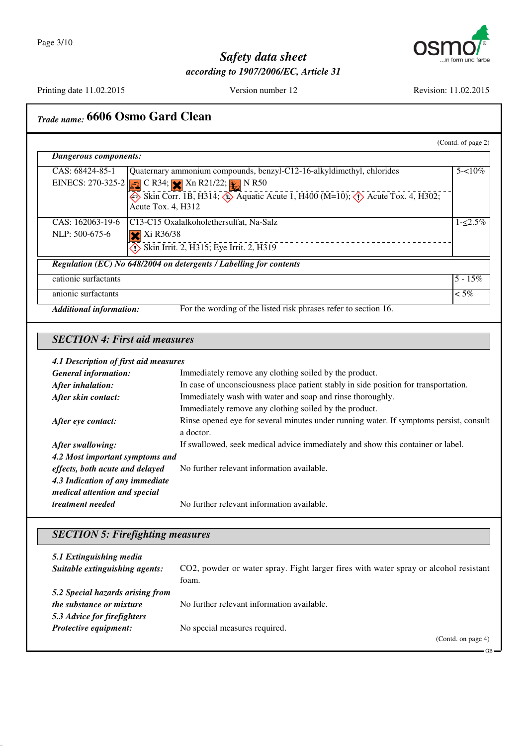

Printing date 11.02.2015 Version number 12 Revision: 11.02.2015

GB

# *Trade name:* **6606 Osmo Gard Clean**

| Dangerous components: |                                                                                                                                  |            |
|-----------------------|----------------------------------------------------------------------------------------------------------------------------------|------------|
| CAS: 68424-85-1       | Quaternary ammonium compounds, benzyl-C12-16-alkyldimethyl, chlorides                                                            | $5 - 10\%$ |
|                       | EINECS: 270-325-2 $\boxed{\bullet}$ C R34; $\times$ Xn R21/22; $\times$ N R50                                                    |            |
|                       | Skin Corr. 1B, H314; $\leftrightarrow$ Aquatic Acute 1, H400 (M=10); $\leftrightarrow$ Acute Tox. 4, H302;<br>Acute Tox. 4, H312 |            |
| CAS: 162063-19-6      | C13-C15 Oxalalkoholethersulfat, Na-Salz                                                                                          | $1 - 5\%$  |
| NLP: 500-675-6        | Xi R36/38                                                                                                                        |            |
|                       | Skin Irrit. 2, H315; Eye Irrit. 2, H319                                                                                          |            |
|                       | Regulation (EC) No 648/2004 on detergents / Labelling for contents                                                               |            |
| cationic surfactants  |                                                                                                                                  | $5 - 15\%$ |
| anionic surfactants   |                                                                                                                                  | $\leq 5\%$ |

#### *SECTION 4: First aid measures*

#### *4.1 Description of first aid measures*

| $\cdots$                        |                                                                                        |
|---------------------------------|----------------------------------------------------------------------------------------|
| <b>General information:</b>     | Immediately remove any clothing soiled by the product.                                 |
| After inhalation:               | In case of unconsciousness place patient stably in side position for transportation.   |
| After skin contact:             | Immediately wash with water and soap and rinse thoroughly.                             |
|                                 | Immediately remove any clothing soiled by the product.                                 |
| After eye contact:              | Rinse opened eye for several minutes under running water. If symptoms persist, consult |
|                                 | a doctor.                                                                              |
| After swallowing:               | If swallowed, seek medical advice immediately and show this container or label.        |
| 4.2 Most important symptoms and |                                                                                        |
| effects, both acute and delayed | No further relevant information available.                                             |
| 4.3 Indication of any immediate |                                                                                        |
| medical attention and special   |                                                                                        |
| treatment needed                | No further relevant information available.                                             |
|                                 |                                                                                        |

### *SECTION 5: Firefighting measures*

| 5.1 Extinguishing media<br>Suitable extinguishing agents: | CO2, powder or water spray. Fight larger fires with water spray or alcohol resistant<br>foam. |
|-----------------------------------------------------------|-----------------------------------------------------------------------------------------------|
| 5.2 Special hazards arising from                          |                                                                                               |
| <i>the substance or mixture</i>                           | No further relevant information available.                                                    |
| 5.3 Advice for firefighters                               |                                                                                               |
| Protective equipment:                                     | No special measures required.                                                                 |
|                                                           | (Contd. on page 4)                                                                            |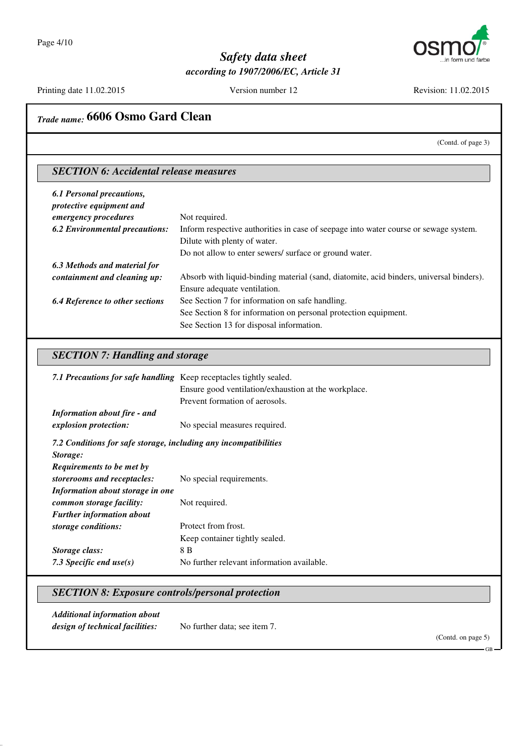

Printing date 11.02.2015 Version number 12 Revision: 11.02.2015

# *Trade name:* **6606 Osmo Gard Clean**

(Contd. of page 3)

#### *SECTION 6: Accidental release measures*

| 6.1 Personal precautions,<br>protective equipment and |                                                                                         |
|-------------------------------------------------------|-----------------------------------------------------------------------------------------|
| emergency procedures                                  | Not required.                                                                           |
| <b>6.2 Environmental precautions:</b>                 | Inform respective authorities in case of seepage into water course or sewage system.    |
|                                                       | Dilute with plenty of water.                                                            |
|                                                       | Do not allow to enter sewers/ surface or ground water.                                  |
| 6.3 Methods and material for                          |                                                                                         |
| containment and cleaning up:                          | Absorb with liquid-binding material (sand, diatomite, acid binders, universal binders). |
|                                                       | Ensure adequate ventilation.                                                            |
| <b>6.4 Reference to other sections</b>                | See Section 7 for information on safe handling.                                         |
|                                                       | See Section 8 for information on personal protection equipment.                         |
|                                                       | See Section 13 for disposal information.                                                |

#### *SECTION 7: Handling and storage*

| 7.1 Precautions for safe handling Keep receptacles tightly sealed. |                                                      |
|--------------------------------------------------------------------|------------------------------------------------------|
|                                                                    | Ensure good ventilation/exhaustion at the workplace. |
|                                                                    | Prevent formation of aerosols.                       |
| <b>Information about fire - and</b>                                |                                                      |
| explosion protection:                                              | No special measures required.                        |
| 7.2 Conditions for safe storage, including any incompatibilities   |                                                      |
| Storage:<br>Requirements to be met by                              |                                                      |
| storerooms and receptacles:                                        | No special requirements.                             |
| Information about storage in one                                   |                                                      |
| common storage facility:                                           | Not required.                                        |
| <b>Further information about</b>                                   |                                                      |
| storage conditions:                                                | Protect from frost.                                  |
|                                                                    | Keep container tightly sealed.                       |
| Storage class:                                                     | 8 B                                                  |
| 7.3 Specific end $use(s)$                                          | No further relevant information available.           |

#### *SECTION 8: Exposure controls/personal protection*

*Additional information about design of technical facilities:* No further data; see item 7.

(Contd. on page 5)

GB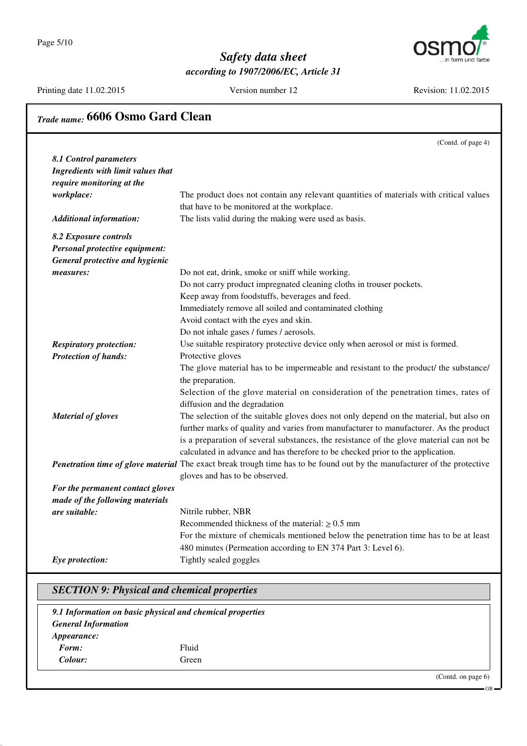Page 5/10



#### *Safety data sheet according to 1907/2006/EC, Article 31*

Printing date 11.02.2015 Version number 12 Revision: 11.02.2015

#### *Trade name:* **6606 Osmo Gard Clean** (Contd. of page 4) *8.1 Control parameters Ingredients with limit values that require monitoring at the workplace:* The product does not contain any relevant quantities of materials with critical values that have to be monitored at the workplace. *Additional information:* The lists valid during the making were used as basis. *8.2 Exposure controls Personal protective equipment: General protective and hygienic measures:* Do not eat, drink, smoke or sniff while working. Do not carry product impregnated cleaning cloths in trouser pockets. Keep away from foodstuffs, beverages and feed. Immediately remove all soiled and contaminated clothing Avoid contact with the eyes and skin. Do not inhale gases / fumes / aerosols. *Respiratory protection:* Use suitable respiratory protective device only when aerosol or mist is formed. *Protection of hands:* Protective gloves The glove material has to be impermeable and resistant to the product/ the substance/ the preparation. Selection of the glove material on consideration of the penetration times, rates of diffusion and the degradation *Material of gloves* The selection of the suitable gloves does not only depend on the material, but also on further marks of quality and varies from manufacturer to manufacturer. As the product is a preparation of several substances, the resistance of the glove material can not be calculated in advance and has therefore to be checked prior to the application. *Penetration time of glove material* The exact break trough time has to be found out by the manufacturer of the protective gloves and has to be observed. *For the permanent contact gloves made of the following materials are suitable:* Nitrile rubber, NBR Recommended thickness of the material:  $\geq 0.5$  mm For the mixture of chemicals mentioned below the penetration time has to be at least 480 minutes (Permeation according to EN 374 Part 3: Level 6). *Eye protection:* Tightly sealed goggles *SECTION 9: Physical and chemical properties*

*9.1 Information on basic physical and chemical properties General Information Appearance: Form:* Fluid *Colour:* Green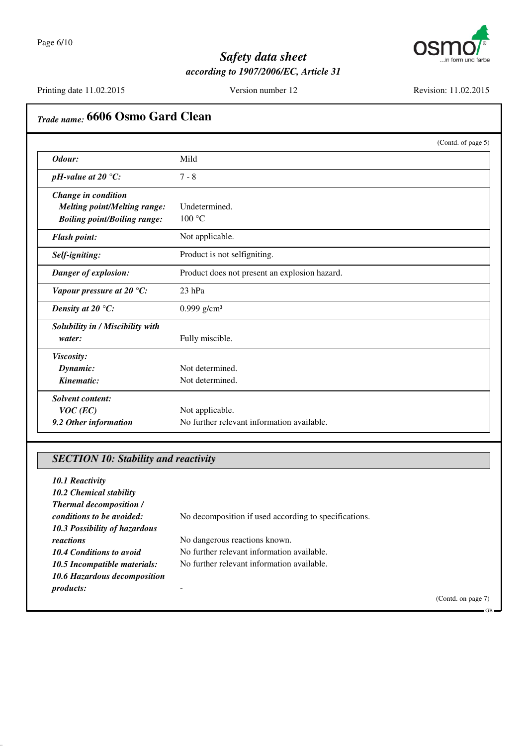

Printing date 11.02.2015 Version number 12 Revision: 11.02.2015

# *Trade name:* **6606 Osmo Gard Clean** (Contd. of page 5) *Odour:* Mild *pH*-value at 20 °C: 7 - 8 *Change in condition Melting point/Melting range:* Undetermined. *Boiling point/Boiling range:* 100 °C *Flash point:* Not applicable. *Self-igniting:* Product is not selfigniting. *Danger of explosion:* Product does not present an explosion hazard. *Vapour pressure at 20 °C:* 23 hPa *Density at 20 °C:* 0.999 g/cm<sup>3</sup> *Solubility in / Miscibility with water:* Fully miscible. *Viscosity: Dynamic:* Not determined. **Kinematic:** Not determined. *Solvent content: VOC* (*EC*) Not applicable.

#### *SECTION 10: Stability and reactivity*

**9.2 Other information** No further relevant information available.

| 10.1 Reactivity<br><b>10.2 Chemical stability</b><br><b>Thermal decomposition /</b> |                                                       |
|-------------------------------------------------------------------------------------|-------------------------------------------------------|
| conditions to be avoided:<br>10.3 Possibility of hazardous                          | No decomposition if used according to specifications. |
| reactions                                                                           | No dangerous reactions known.                         |
| 10.4 Conditions to avoid                                                            | No further relevant information available.            |
| 10.5 Incompatible materials:                                                        | No further relevant information available.            |
| 10.6 Hazardous decomposition                                                        |                                                       |
| <i>products:</i>                                                                    |                                                       |

(Contd. on page 7)

 $\overline{c}$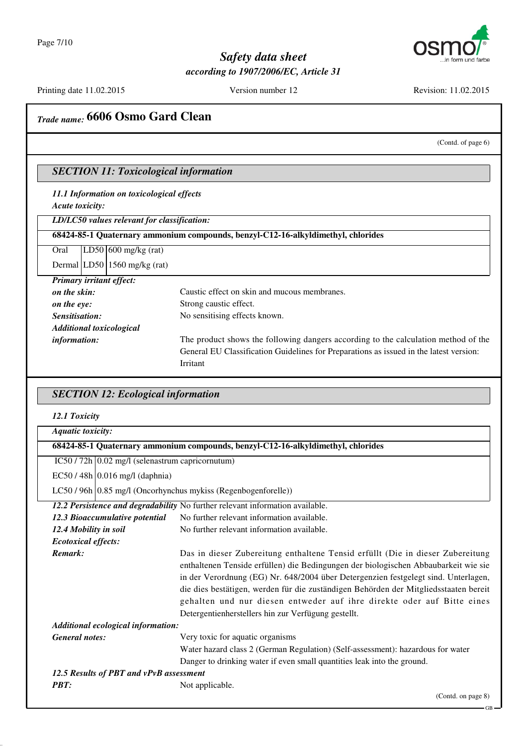

Printing date 11.02.2015 Version number 12 Revision: 11.02.2015

### *Trade name:* **6606 Osmo Gard Clean**

(Contd. of page 6)

GB

#### *SECTION 11: Toxicological information*

*11.1 Information on toxicological effects Acute toxicity:*

*LD/LC50 values relevant for classification:*

**68424-85-1 Quaternary ammonium compounds, benzyl-C12-16-alkyldimethyl, chlorides**

Oral LD50 600 mg/kg (rat)

Dermal LD50 1560 mg/kg (rat)

| <b>Primary irritant effect:</b> |                                                                                        |
|---------------------------------|----------------------------------------------------------------------------------------|
| on the skin:                    | Caustic effect on skin and mucous membranes.                                           |
| on the eye:                     | Strong caustic effect.                                                                 |
| Sensitisation:                  | No sensitising effects known.                                                          |
|                                 | <b>Additional toxicological</b>                                                        |
| information:                    | The product shows the following dangers according to the calculation method of the     |
|                                 | General EU Classification Guidelines for Preparations as issued in the latest version: |
|                                 | Irritant                                                                               |

#### *SECTION 12: Ecological information*

|  | 12.1 Toxicity |
|--|---------------|
|--|---------------|

| <b>Aquatic toxicity:</b>                                       |                                                                                                                                                                                                                                                                                                                                                                                                                                                                                      |
|----------------------------------------------------------------|--------------------------------------------------------------------------------------------------------------------------------------------------------------------------------------------------------------------------------------------------------------------------------------------------------------------------------------------------------------------------------------------------------------------------------------------------------------------------------------|
|                                                                | 68424-85-1 Quaternary ammonium compounds, benzyl-C12-16-alkyldimethyl, chlorides                                                                                                                                                                                                                                                                                                                                                                                                     |
| $IC50 / 72h$ 0.02 mg/l (selenastrum capricornutum)             |                                                                                                                                                                                                                                                                                                                                                                                                                                                                                      |
| EC50 / 48h 0.016 mg/l (daphnia)                                |                                                                                                                                                                                                                                                                                                                                                                                                                                                                                      |
| LC50 / 96h 0.85 mg/l (Oncorhynchus mykiss (Regenbogenforelle)) |                                                                                                                                                                                                                                                                                                                                                                                                                                                                                      |
|                                                                | 12.2 Persistence and degradability No further relevant information available.                                                                                                                                                                                                                                                                                                                                                                                                        |
| 12.3 Bioaccumulative potential                                 | No further relevant information available.                                                                                                                                                                                                                                                                                                                                                                                                                                           |
| 12.4 Mobility in soil                                          | No further relevant information available.                                                                                                                                                                                                                                                                                                                                                                                                                                           |
| <b>Ecotoxical effects:</b>                                     |                                                                                                                                                                                                                                                                                                                                                                                                                                                                                      |
| Remark:                                                        | Das in dieser Zubereitung enthaltene Tensid erfüllt (Die in dieser Zubereitung<br>enthaltenen Tenside erfüllen) die Bedingungen der biologischen Abbaubarkeit wie sie<br>in der Verordnung (EG) Nr. 648/2004 über Detergenzien festgelegt sind. Unterlagen,<br>die dies bestätigen, werden für die zuständigen Behörden der Mitgliedsstaaten bereit<br>gehalten und nur diesen entweder auf ihre direkte oder auf Bitte eines<br>Detergentienherstellers hin zur Verfügung gestellt. |
| Additional ecological information:                             |                                                                                                                                                                                                                                                                                                                                                                                                                                                                                      |
| <b>General notes:</b>                                          | Very toxic for aquatic organisms                                                                                                                                                                                                                                                                                                                                                                                                                                                     |
|                                                                | Water hazard class 2 (German Regulation) (Self-assessment): hazardous for water                                                                                                                                                                                                                                                                                                                                                                                                      |
|                                                                | Danger to drinking water if even small quantities leak into the ground.                                                                                                                                                                                                                                                                                                                                                                                                              |
| 12.5 Results of PBT and vPvB assessment                        |                                                                                                                                                                                                                                                                                                                                                                                                                                                                                      |
| <b>PBT:</b>                                                    | Not applicable.                                                                                                                                                                                                                                                                                                                                                                                                                                                                      |
|                                                                | (Contd. on page 8)                                                                                                                                                                                                                                                                                                                                                                                                                                                                   |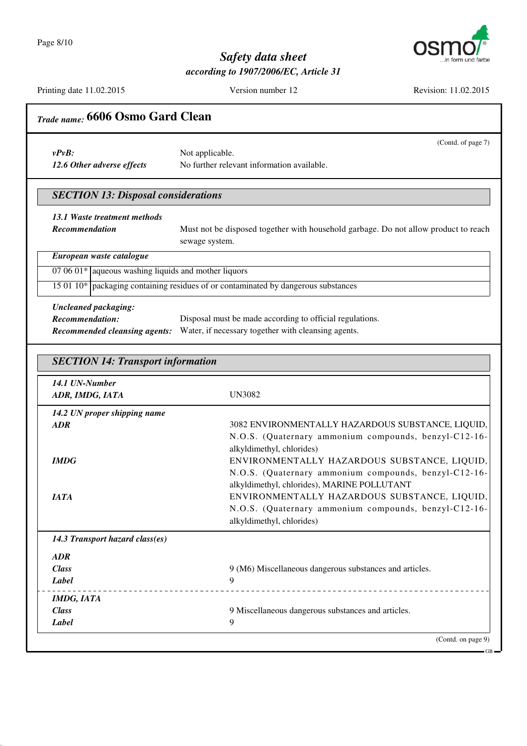

Printing date 11.02.2015 Version number 12 Revision: 11.02.2015

| $v P v B$ :                                                | (Contd. of page 7)<br>Not applicable.                                                                                                                                                       |
|------------------------------------------------------------|---------------------------------------------------------------------------------------------------------------------------------------------------------------------------------------------|
| 12.6 Other adverse effects                                 | No further relevant information available.                                                                                                                                                  |
| <b>SECTION 13: Disposal considerations</b>                 |                                                                                                                                                                                             |
| 13.1 Waste treatment methods                               |                                                                                                                                                                                             |
| <b>Recommendation</b>                                      | Must not be disposed together with household garbage. Do not allow product to reach<br>sewage system.                                                                                       |
| European waste catalogue                                   |                                                                                                                                                                                             |
| 07 06 01 $*$ aqueous washing liquids and mother liquors    |                                                                                                                                                                                             |
|                                                            | 15 01 10* packaging containing residues of or contaminated by dangerous substances                                                                                                          |
| <b>Uncleaned packaging:</b>                                |                                                                                                                                                                                             |
| <b>Recommendation:</b>                                     | Disposal must be made according to official regulations.                                                                                                                                    |
| <b>Recommended cleansing agents:</b>                       | Water, if necessary together with cleansing agents.                                                                                                                                         |
|                                                            |                                                                                                                                                                                             |
| <b>SECTION 14: Transport information</b><br>14.1 UN-Number |                                                                                                                                                                                             |
| ADR, IMDG, IATA                                            | <b>UN3082</b>                                                                                                                                                                               |
| 14.2 UN proper shipping name                               |                                                                                                                                                                                             |
| ADR                                                        |                                                                                                                                                                                             |
|                                                            |                                                                                                                                                                                             |
| <b>IMDG</b>                                                | 3082 ENVIRONMENTALLY HAZARDOUS SUBSTANCE, LIQUID,<br>N.O.S. (Quaternary ammonium compounds, benzyl-C12-16-<br>alkyldimethyl, chlorides)<br>ENVIRONMENTALLY HAZARDOUS SUBSTANCE, LIQUID,     |
|                                                            |                                                                                                                                                                                             |
|                                                            | alkyldimethyl, chlorides), MARINE POLLUTANT                                                                                                                                                 |
| <b>IATA</b>                                                |                                                                                                                                                                                             |
|                                                            | N.O.S. (Quaternary ammonium compounds, benzyl-C12-16-<br>ENVIRONMENTALLY HAZARDOUS SUBSTANCE, LIQUID,<br>N.O.S. (Quaternary ammonium compounds, benzyl-C12-16-<br>alkyldimethyl, chlorides) |
| 14.3 Transport hazard class(es)                            |                                                                                                                                                                                             |
| <b>ADR</b>                                                 |                                                                                                                                                                                             |
| <b>Class</b>                                               | 9 (M6) Miscellaneous dangerous substances and articles.                                                                                                                                     |
| <b>Label</b>                                               | 9                                                                                                                                                                                           |
| <b>IMDG, IATA</b>                                          |                                                                                                                                                                                             |
| <b>Class</b><br><b>Label</b>                               | 9 Miscellaneous dangerous substances and articles.<br>9                                                                                                                                     |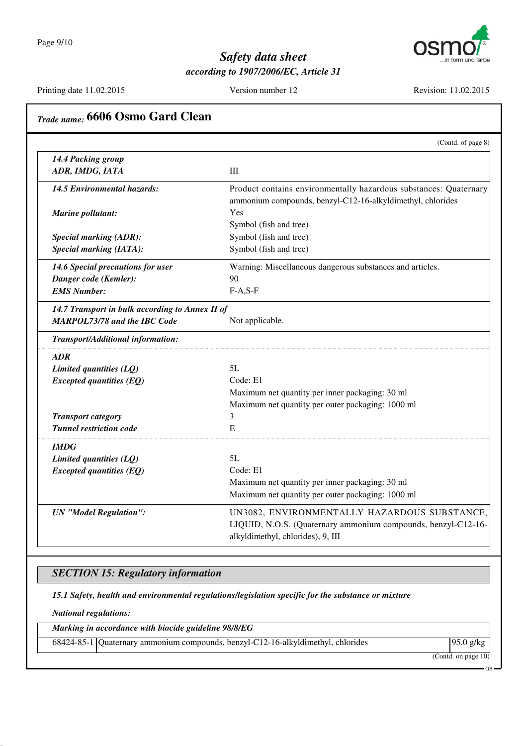

Printing date 11.02.2015 Version number 12 Revision: 11.02.2015

|                                                 | (Contd. of page 8)                                                |
|-------------------------------------------------|-------------------------------------------------------------------|
| 14.4 Packing group                              |                                                                   |
| ADR, IMDG, IATA                                 | III                                                               |
| 14.5 Environmental hazards:                     | Product contains environmentally hazardous substances: Quaternary |
|                                                 | ammonium compounds, benzyl-C12-16-alkyldimethyl, chlorides        |
| Marine pollutant:                               | Yes                                                               |
|                                                 | Symbol (fish and tree)                                            |
| <b>Special marking (ADR):</b>                   | Symbol (fish and tree)                                            |
| <b>Special marking (IATA):</b>                  | Symbol (fish and tree)                                            |
| 14.6 Special precautions for user               | Warning: Miscellaneous dangerous substances and articles.         |
| Danger code (Kemler):                           | 90                                                                |
| <b>EMS Number:</b>                              | $F-A, S-F$                                                        |
| 14.7 Transport in bulk according to Annex II of |                                                                   |
| <b>MARPOL73/78 and the IBC Code</b>             | Not applicable.                                                   |
| Transport/Additional information:               |                                                                   |
| <b>ADR</b>                                      |                                                                   |
| Limited quantities (LQ)                         | 5L                                                                |
| $Expected$ quantities $(EQ)$                    | Code: E1                                                          |
|                                                 | Maximum net quantity per inner packaging: 30 ml                   |
|                                                 | Maximum net quantity per outer packaging: 1000 ml                 |
| <b>Transport category</b>                       | 3                                                                 |
| <b>Tunnel restriction code</b>                  | E                                                                 |
| <b>IMDG</b>                                     |                                                                   |
| Limited quantities (LQ)                         | 5L                                                                |
| <b>Excepted quantities (EQ)</b>                 | Code: E1                                                          |
|                                                 | Maximum net quantity per inner packaging: 30 ml                   |
|                                                 | Maximum net quantity per outer packaging: 1000 ml                 |
| <b>UN</b> "Model Regulation":                   | UN3082, ENVIRONMENTALLY HAZARDOUS SUBSTANCE,                      |
|                                                 | LIQUID, N.O.S. (Quaternary ammonium compounds, benzyl-C12-16-     |
|                                                 | alkyldimethyl, chlorides), 9, III                                 |

#### *SECTION 15: Regulatory information*

*15.1 Safety, health and environmental regulations/legislation specific for the substance or mixture*

*National regulations:*

*Marking in accordance with biocide guideline 98/8/EG*

68424-85-1 Quaternary ammonium compounds, benzyl-C12-16-alkyldimethyl, chlorides 95.0 g/kg

(Contd. on page 10)

 $\overline{CD}$